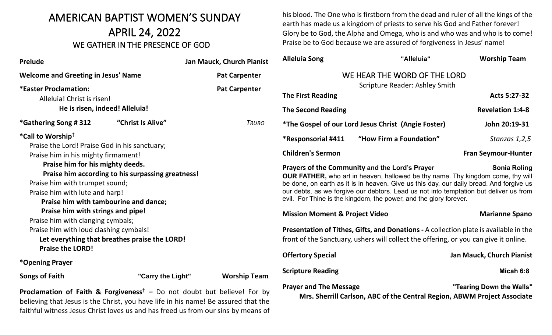## AMERICAN BAPTIST WOMEN'S SUNDAY APRIL 24, 2022 WE GATHER IN THE PRESENCE OF GOD

**Prelude Jan Mauck, Church Pianist Welcome and Greeting in Jesus' Name <b>Pat Carpenter \*Easter Proclamation: Pat Carpenter** Alleluia! Christ is risen! **He is risen, indeed! Alleluia! \*Gathering Song # 312 "Christ Is Alive"** *TRURO* **\*Call to Worship**† Praise the Lord! Praise God in his sanctuary; Praise him in his mighty firmament!  **Praise him for his mighty deeds. Praise him according to his surpassing greatness!** Praise him with trumpet sound; Praise him with lute and harp!  **Praise him with tambourine and dance; Praise him with strings and pipe!** Praise him with clanging cymbals; Praise him with loud clashing cymbals!  **Let everything that breathes praise the LORD! Praise the LORD! \*Opening Prayer Songs of Faith "Carry the Light" Worship Team Proclamation of Faith & Forgiveness**† **–** Do not doubt but believe! For by

believing that Jesus is the Christ, you have life in his name! Be assured that the faithful witness Jesus Christ loves us and has freed us from our sins by means of his blood. The One who is firstborn from the dead and ruler of all the kings of the earth has made us a kingdom of priests to serve his God and Father forever! Glory be to God, the Alpha and Omega, who is and who was and who is to come! Praise be to God because we are assured of forgiveness in Jesus' name!

| <b>Alleluia Song</b>                                                                                                                                                                                                                                                                                                                                                                                                     | "Alleluia"                                                     | <b>Worship Team</b>        |
|--------------------------------------------------------------------------------------------------------------------------------------------------------------------------------------------------------------------------------------------------------------------------------------------------------------------------------------------------------------------------------------------------------------------------|----------------------------------------------------------------|----------------------------|
|                                                                                                                                                                                                                                                                                                                                                                                                                          | WE HEAR THE WORD OF THE LORD<br>Scripture Reader: Ashley Smith |                            |
| <b>The First Reading</b>                                                                                                                                                                                                                                                                                                                                                                                                 |                                                                | Acts 5:27-32               |
| <b>The Second Reading</b>                                                                                                                                                                                                                                                                                                                                                                                                |                                                                | <b>Revelation 1:4-8</b>    |
|                                                                                                                                                                                                                                                                                                                                                                                                                          | <i>*The Gospel of our Lord Jesus Christ (Angie Foster)</i>     | John 20:19-31              |
| *Responsorial #411                                                                                                                                                                                                                                                                                                                                                                                                       | "How Firm a Foundation"                                        | Stanzas 1,2,5              |
| <b>Children's Sermon</b>                                                                                                                                                                                                                                                                                                                                                                                                 |                                                                | <b>Fran Seymour-Hunter</b> |
| Prayers of the Community and the Lord's Prayer<br><b>Sonia Roling</b><br><b>OUR FATHER,</b> who art in heaven, hallowed be thy name. Thy kingdom come, thy will<br>be done, on earth as it is in heaven. Give us this day, our daily bread. And forgive us<br>our debts, as we forgive our debtors. Lead us not into temptation but deliver us from<br>evil. For Thine is the kingdom, the power, and the glory forever. |                                                                |                            |

**Mission Moment & Project Video Marianne Spano** 

**Presentation of Tithes, Gifts, and Donations -** A collection plate is available in the front of the Sanctuary, ushers will collect the offering, or you can give it online.

| <b>Offertory Special</b>                                                                                  | <b>Jan Mauck, Church Pianist</b> |
|-----------------------------------------------------------------------------------------------------------|----------------------------------|
| <b>Scripture Reading</b>                                                                                  | Micah 6:8                        |
| <b>Prayer and The Message</b><br>Mrs. Sherrill Carlson, ABC of the Central Region, ABWM Project Associate | "Tearing Down the Walls"         |